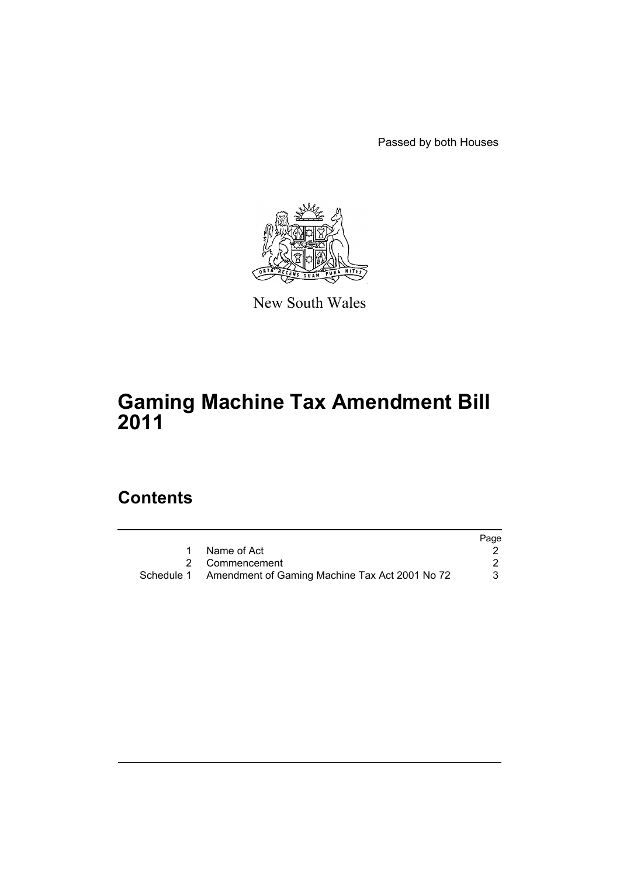Passed by both Houses



New South Wales

# **Gaming Machine Tax Amendment Bill 2011**

# **Contents**

|                                                           | Page |
|-----------------------------------------------------------|------|
| 1 Name of Act                                             |      |
| 2 Commencement                                            |      |
| Schedule 1 Amendment of Gaming Machine Tax Act 2001 No 72 |      |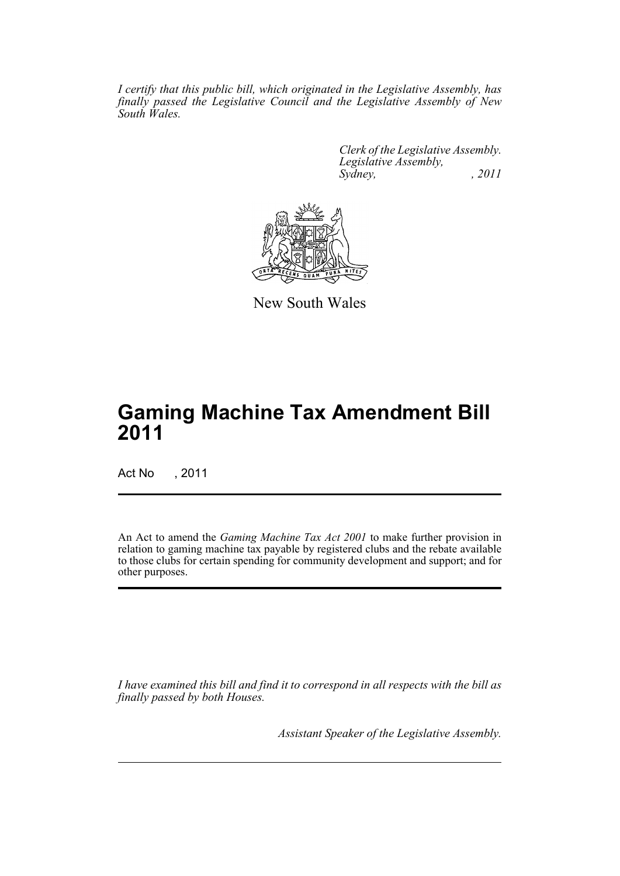*I certify that this public bill, which originated in the Legislative Assembly, has finally passed the Legislative Council and the Legislative Assembly of New South Wales.*

> *Clerk of the Legislative Assembly. Legislative Assembly, Sydney, , 2011*



New South Wales

# **Gaming Machine Tax Amendment Bill 2011**

Act No , 2011

An Act to amend the *Gaming Machine Tax Act 2001* to make further provision in relation to gaming machine tax payable by registered clubs and the rebate available to those clubs for certain spending for community development and support; and for other purposes.

*I have examined this bill and find it to correspond in all respects with the bill as finally passed by both Houses.*

*Assistant Speaker of the Legislative Assembly.*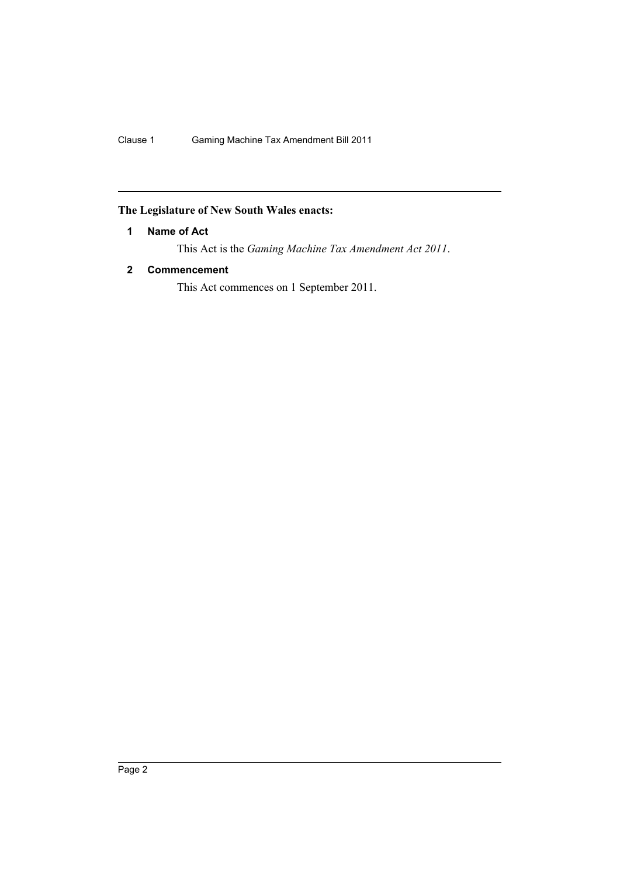# <span id="page-3-0"></span>**The Legislature of New South Wales enacts:**

# **1 Name of Act**

This Act is the *Gaming Machine Tax Amendment Act 2011*.

# <span id="page-3-1"></span>**2 Commencement**

This Act commences on 1 September 2011.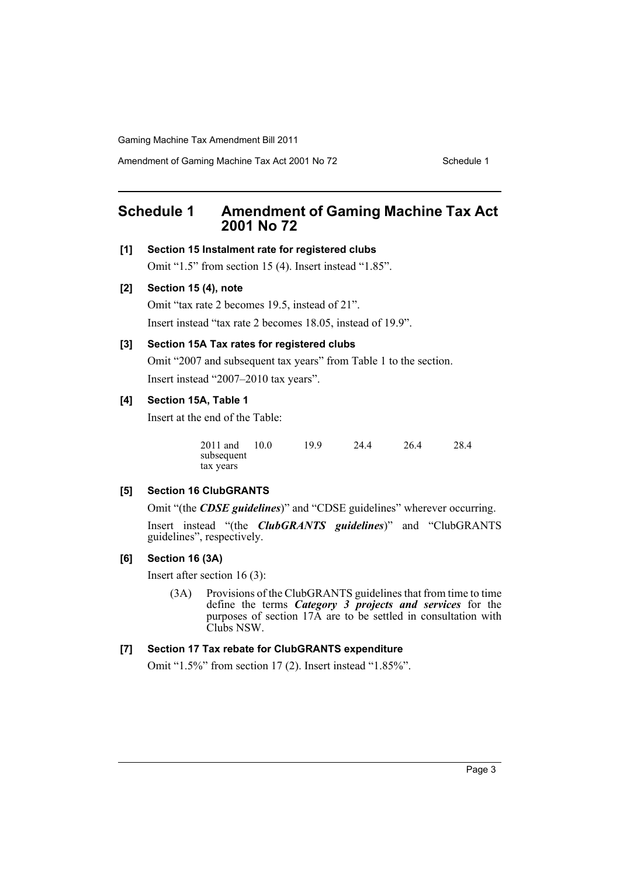Amendment of Gaming Machine Tax Act 2001 No 72 Schedule 1

# <span id="page-4-0"></span>**Schedule 1 Amendment of Gaming Machine Tax Act 2001 No 72**

### **[1] Section 15 Instalment rate for registered clubs**

Omit "1.5" from section 15 (4). Insert instead "1.85".

#### **[2] Section 15 (4), note**

Omit "tax rate 2 becomes 19.5, instead of 21".

Insert instead "tax rate 2 becomes 18.05, instead of 19.9".

#### **[3] Section 15A Tax rates for registered clubs**

Omit "2007 and subsequent tax years" from Table 1 to the section. Insert instead "2007–2010 tax years".

# **[4] Section 15A, Table 1**

Insert at the end of the Table:

| 2011 and   | 10.0 | 19.9 | 24.4 | 26.4 | 28.4 |
|------------|------|------|------|------|------|
| subsequent |      |      |      |      |      |
| tax years  |      |      |      |      |      |

#### **[5] Section 16 ClubGRANTS**

Omit "(the *CDSE guidelines*)" and "CDSE guidelines" wherever occurring.

Insert instead "(the *ClubGRANTS guidelines*)" and "ClubGRANTS guidelines", respectively.

# **[6] Section 16 (3A)**

Insert after section 16 (3):

(3A) Provisions of the ClubGRANTS guidelines that from time to time define the terms *Category 3 projects and services* for the purposes of section 17A are to be settled in consultation with Clubs NSW.

## **[7] Section 17 Tax rebate for ClubGRANTS expenditure**

Omit "1.5%" from section 17 (2). Insert instead "1.85%".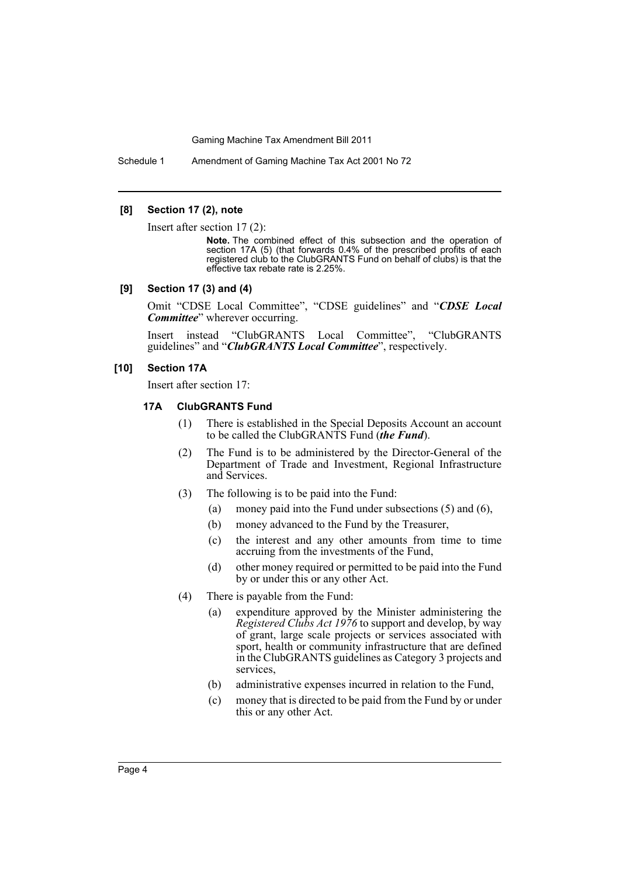Schedule 1 Amendment of Gaming Machine Tax Act 2001 No 72

#### **[8] Section 17 (2), note**

Insert after section 17 (2):

**Note.** The combined effect of this subsection and the operation of section 17A (5) (that forwards 0.4% of the prescribed profits of each registered club to the ClubGRANTS Fund on behalf of clubs) is that the effective tax rebate rate is 2.25%.

#### **[9] Section 17 (3) and (4)**

Omit "CDSE Local Committee", "CDSE guidelines" and "*CDSE Local Committee*" wherever occurring.

Insert instead "ClubGRANTS Local Committee", "ClubGRANTS guidelines" and "*ClubGRANTS Local Committee*", respectively.

#### **[10] Section 17A**

Insert after section 17:

## **17A ClubGRANTS Fund**

- (1) There is established in the Special Deposits Account an account to be called the ClubGRANTS Fund (*the Fund*).
- (2) The Fund is to be administered by the Director-General of the Department of Trade and Investment, Regional Infrastructure and Services.
- (3) The following is to be paid into the Fund:
	- (a) money paid into the Fund under subsections (5) and (6),
	- (b) money advanced to the Fund by the Treasurer,
	- (c) the interest and any other amounts from time to time accruing from the investments of the Fund,
	- (d) other money required or permitted to be paid into the Fund by or under this or any other Act.
- (4) There is payable from the Fund:
	- (a) expenditure approved by the Minister administering the *Registered Clubs Act 1976* to support and develop, by way of grant, large scale projects or services associated with sport, health or community infrastructure that are defined in the ClubGRANTS guidelines as Category 3 projects and services,
	- (b) administrative expenses incurred in relation to the Fund,
	- (c) money that is directed to be paid from the Fund by or under this or any other Act.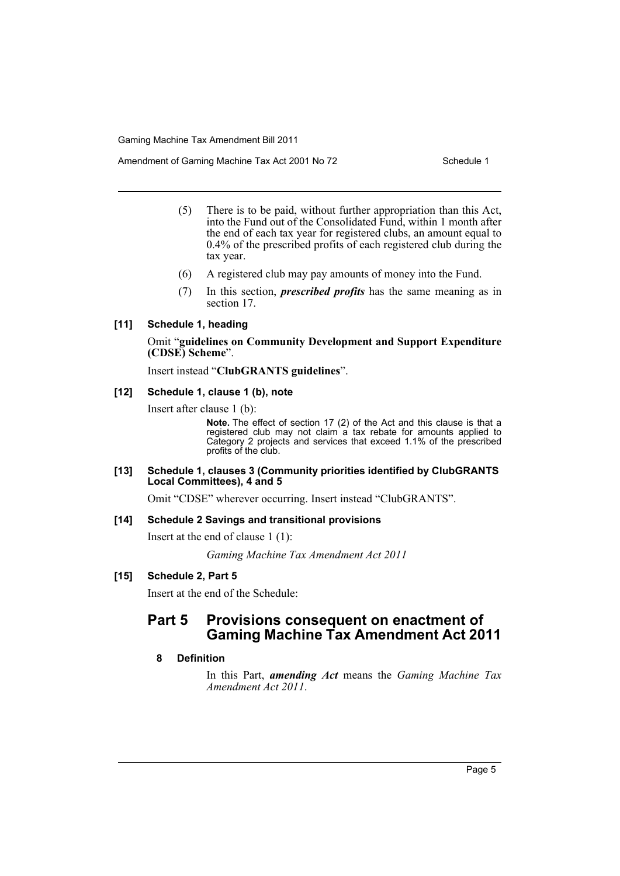Amendment of Gaming Machine Tax Act 2001 No 72 Schedule 1

- (5) There is to be paid, without further appropriation than this Act, into the Fund out of the Consolidated Fund, within 1 month after the end of each tax year for registered clubs, an amount equal to 0.4% of the prescribed profits of each registered club during the tax year.
- (6) A registered club may pay amounts of money into the Fund.
- (7) In this section, *prescribed profits* has the same meaning as in section 17.

## **[11] Schedule 1, heading**

## Omit "**guidelines on Community Development and Support Expenditure (CDSE) Scheme**".

Insert instead "**ClubGRANTS guidelines**".

## **[12] Schedule 1, clause 1 (b), note**

Insert after clause 1 (b):

**Note.** The effect of section 17 (2) of the Act and this clause is that a registered club may not claim a tax rebate for amounts applied to Category 2 projects and services that exceed 1.1% of the prescribed profits of the club.

#### **[13] Schedule 1, clauses 3 (Community priorities identified by ClubGRANTS Local Committees), 4 and 5**

Omit "CDSE" wherever occurring. Insert instead "ClubGRANTS".

# **[14] Schedule 2 Savings and transitional provisions**

Insert at the end of clause 1 (1):

*Gaming Machine Tax Amendment Act 2011*

# **[15] Schedule 2, Part 5**

Insert at the end of the Schedule:

# **Part 5 Provisions consequent on enactment of Gaming Machine Tax Amendment Act 2011**

# **8 Definition**

In this Part, *amending Act* means the *Gaming Machine Tax Amendment Act 2011*.